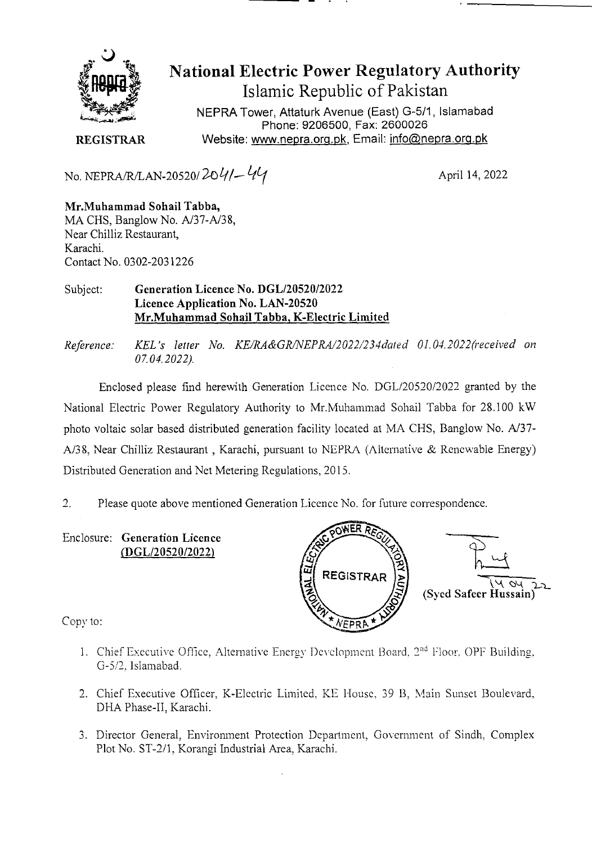

National Electric Power Regulatory Authority Islamic Republic of Pakistan

NEPRA Tower, Attaturk Avenue (East) G-511, Islamabad Phone: 9206500, Fax: 2600026 **REGISTRAR** Website: www.nepra.org.pk, Email: info@nepra.org.pk

No. NEPRA/RILAN-20520/ *2.oL//\_* **<sup>t</sup>***l(* April 14, 2022

**Mr.Muhammad Sohail Tabba,**  MA CHS, Banglow No. A/37-A/38, Near Chilliz Restaurant, Karachi. Contact No. 0302-203 1226

## Subject: **Generation Licence No. DGL/20520/2022 Licence Application No. LAN-20520 Mr.Muhammad Sohail Tabba, K-Electric Limited**

*Reference: KEL's letter No. KE/RA&GR/NEPRA/2022/234dated 01.04.2022(received on 07.04.2022,).* 

Enclosed please find herewith Generation Licence No. DGL/20520/2022 granted by the National Electric Power Regulatory Authority to Mr.Muhammad Sohail Tabba for 28.100 kW photo voltaic solar based distributed generation facility located at MA CHS, Banglow No. A137- A/38, Near Chilliz Restaurant, Karachi, pursuant to NEPRA (Alternative & Renewable Energy) Distributed Generation and Net Metering Regulations, 2015.

2. Please quote above mentioned Generation Licence No. for future correspondence.

Enclosure: Generation Licence *(DGL12052012022)* 



Copy to:

- 1. Chief Executive Office, Alternative Energy Development Board, 2<sup>nd</sup> Floor. OPF Building. G-5/2. Islamabad.
- 2. Chief Executive Officer, K-Electric Limited, KE House, 39 B, Main Sunset Boulevard, DHA Phase-II, Karachi.
- 3. Director General, Environment Protection Department, Government of Sindh. Complex Plot No. ST-2/I. Korangi Industrial Area, Karachi.